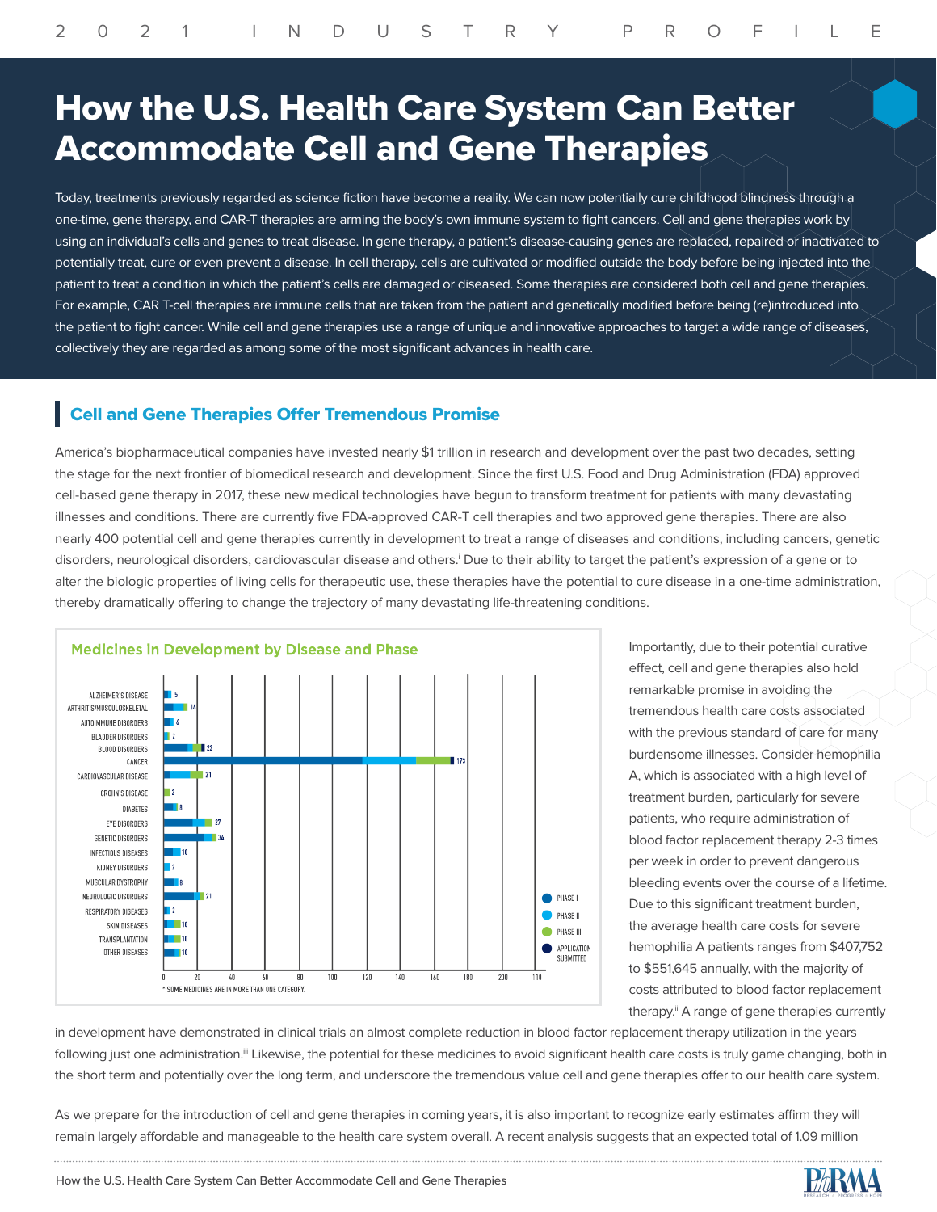## How the U.S. Health Care System Can Better Accommodate Cell and Gene Therapies

Today, treatments previously regarded as science fiction have become a reality. We can now potentially cure childhood blindness through a one-time, gene therapy, and CAR-T therapies are arming the body's own immune system to fight cancers. Cell and gene therapies work by using an individual's cells and genes to treat disease. In gene therapy, a patient's disease-causing genes are replaced, repaired or inactivated to potentially treat, cure or even prevent a disease. In cell therapy, cells are cultivated or modified outside the body before being injected into the patient to treat a condition in which the patient's cells are damaged or diseased. Some therapies are considered both cell and gene therapies. For example, CAR T-cell therapies are immune cells that are taken from the patient and genetically modified before being (re)introduced into the patient to fight cancer. While cell and gene therapies use a range of unique and innovative approaches to target a wide range of diseases, collectively they are regarded as among some of the most significant advances in health care.

## Cell and Gene Therapies Offer Tremendous Promise

America's biopharmaceutical companies have invested nearly \$1 trillion in research and development over the past two decades, setting the stage for the next frontier of biomedical research and development. Since the first U.S. Food and Drug Administration (FDA) approved cell-based gene therapy in 2017, these new medical technologies have begun to transform treatment for patients with many devastating illnesses and conditions. There are currently five FDA-approved CAR-T cell therapies and two approved gene therapies. There are also nearly 400 potential cell and gene therapies currently in development to treat a range of diseases and conditions, including cancers, genetic disorders, neurological disorders, cardiovascular disease and others.<sup>i</sup> Due to their ability to target the patient's expression of a gene or to alter the biologic properties of living cells for therapeutic use, these therapies have the potential to cure disease in a one-time administration, thereby dramatically offering to change the trajectory of many devastating life-threatening conditions.



Importantly, due to their potential curative effect, cell and gene therapies also hold remarkable promise in avoiding the tremendous health care costs associated with the previous standard of care for many burdensome illnesses. Consider hemophilia A, which is associated with a high level of treatment burden, particularly for severe patients, who require administration of blood factor replacement therapy 2-3 times per week in order to prevent dangerous bleeding events over the course of a lifetime. Due to this significant treatment burden, the average health care costs for severe hemophilia A patients ranges from \$407,752 to \$551,645 annually, with the majority of costs attributed to blood factor replacement therapy.<sup>ii</sup> A range of gene therapies currently

in development have demonstrated in clinical trials an almost complete reduction in blood factor replacement therapy utilization in the years following just one administration.<sup>ii</sup> Likewise, the potential for these medicines to avoid significant health care costs is truly game changing, both in the short term and potentially over the long term, and underscore the tremendous value cell and gene therapies offer to our health care system.

As we prepare for the introduction of cell and gene therapies in coming years, it is also important to recognize early estimates affirm they will remain largely affordable and manageable to the health care system overall. A recent analysis suggests that an expected total of 1.09 million